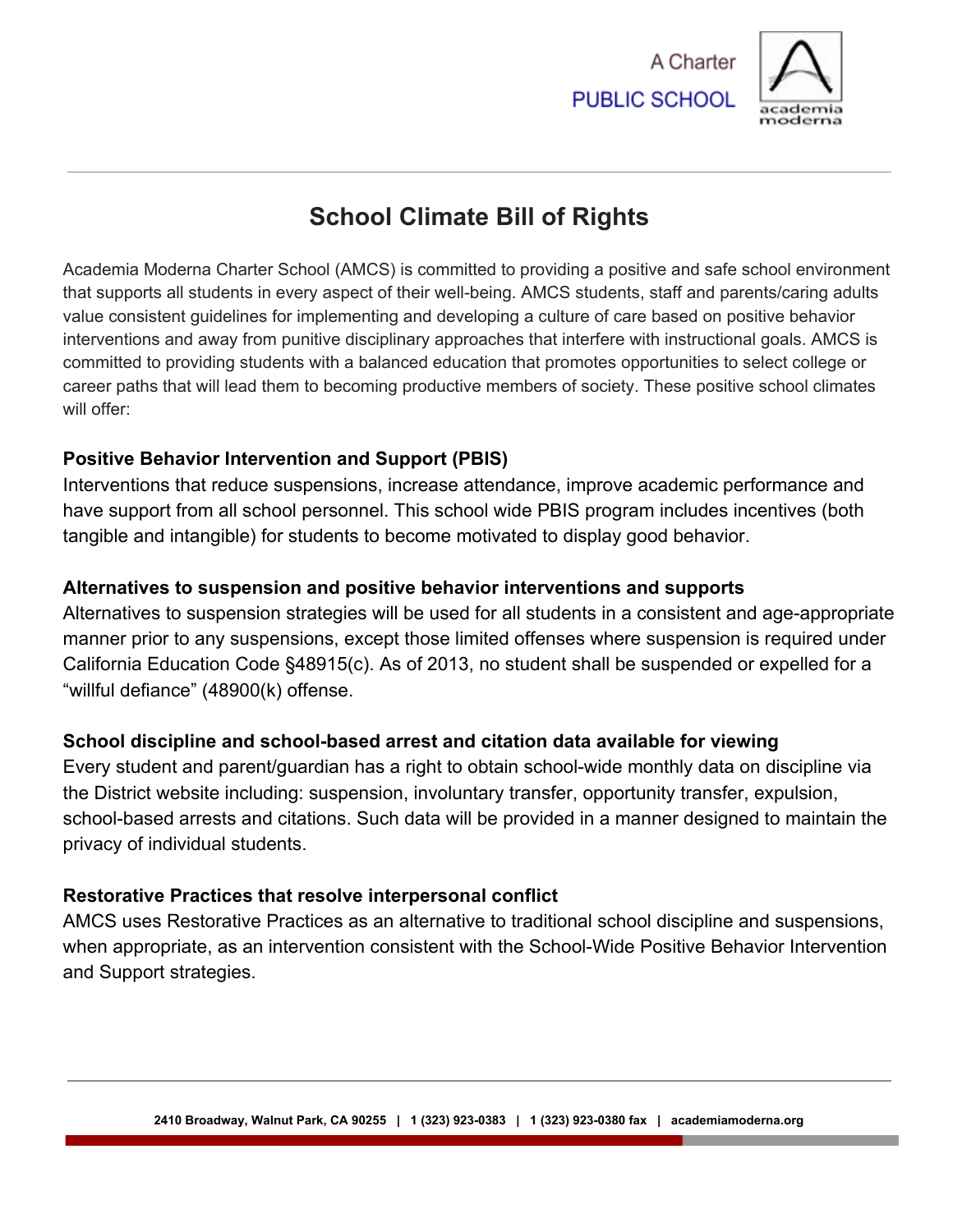



# **School Climate Bill of Rights**

Academia Moderna Charter School (AMCS) is committed to providing a positive and safe school environment that supports all students in every aspect of their well-being. AMCS students, staff and parents/caring adults value consistent guidelines for implementing and developing a culture of care based on positive behavior interventions and away from punitive disciplinary approaches that interfere with instructional goals. AMCS is committed to providing students with a balanced education that promotes opportunities to select college or career paths that will lead them to becoming productive members of society. These positive school climates will offer:

### **Positive Behavior Intervention and Support (PBIS)**

Interventions that reduce suspensions, increase attendance, improve academic performance and have support from all school personnel. This school wide PBIS program includes incentives (both tangible and intangible) for students to become motivated to display good behavior.

## **Alternatives to suspension and positive behavior interventions and supports**

Alternatives to suspension strategies will be used for all students in a consistent and age-appropriate manner prior to any suspensions, except those limited offenses where suspension is required under California Education Code §48915(c). As of 2013, no student shall be suspended or expelled for a "willful defiance" (48900(k) offense.

# **School discipline and school-based arrest and citation data available for viewing**

Every student and parent/guardian has a right to obtain school-wide monthly data on discipline via the District website including: suspension, involuntary transfer, opportunity transfer, expulsion, school-based arrests and citations. Such data will be provided in a manner designed to maintain the privacy of individual students.

### **Restorative Practices that resolve interpersonal conflict**

AMCS uses Restorative Practices as an alternative to traditional school discipline and suspensions, when appropriate, as an intervention consistent with the School-Wide Positive Behavior Intervention and Support strategies.